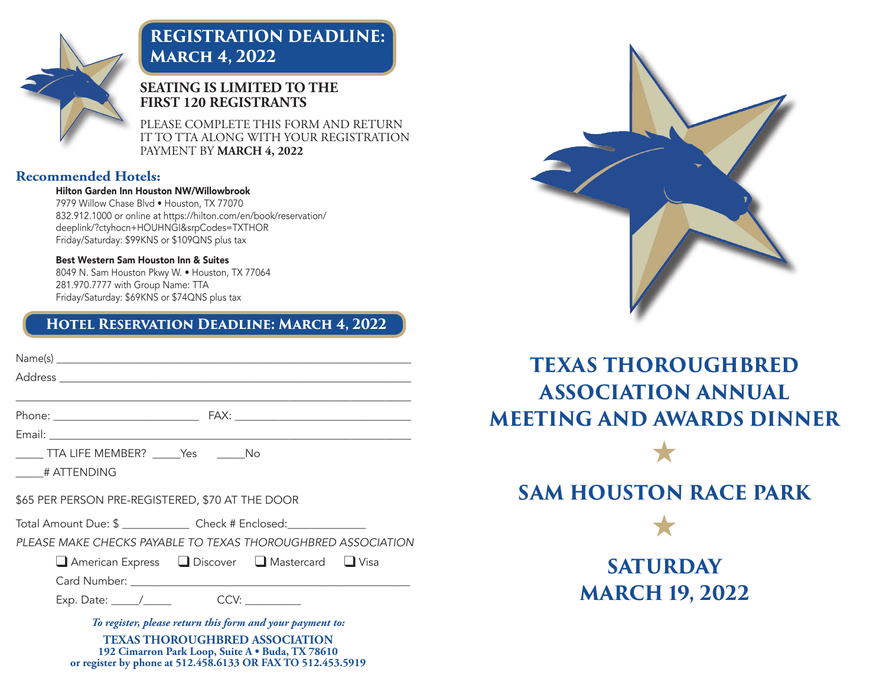

# **REGISTRATION DEADLINE: March 4, 2022**

### **SEATING IS LIMITED TO THE FIRST 120 REGISTRANTS**

PLEASE COMPLETE THIS FORM AND RETURN IT TO TTA ALONG WITH YOUR REGISTRATION PAYMENT BY **MARCH 4, 2022**

#### **Recommended Hotels:**

#### Hilton Garden Inn Houston NW/Willowbrook

7979 Willow Chase Blvd • Houston, TX 77070 832.912.1000 or online at https://hilton.com/en/book/reservation/ deeplink/?ctyhocn+HOUHNGI&srpCodes=TXTHOR Friday/Saturday: \$99KNS or \$109QNS plus tax

#### Best Western Sam Houston Inn & Suites

8049 N. Sam Houston Pkwy W. • Houston, TX 77064 281.970.7777 with Group Name: TTA Friday/Saturday: \$69KNS or \$74QNS plus tax

### **Hotel Reservation Deadline: March 4, 2022**

| ______ TTA LIFE MEMBER? ______Yes   ______No                          |
|-----------------------------------------------------------------------|
| # ATTENDING                                                           |
| \$65 PER PERSON PRE-REGISTERED, \$70 AT THE DOOR                      |
| Total Amount Due: \$ _______________ Check # Enclosed: ______________ |
| PLEASE MAKE CHECKS PAYABLE TO TEXAS THOROUGHBRED ASSOCIATION          |
| ■ American Express ■ Discover ■ Mastercard ■ Visa                     |
|                                                                       |
|                                                                       |
| To register, please return this form and your payment to:             |

**TEXAS THOROUGHBRED ASSOCIATION 192 Cimarron Park Loop, Suite A • Buda, TX 78610 or register by phone at 512.458.6133 OR FAX TO 512.453.5919**



# **TEXAS THOROUGHBRED ASSOCIATION ANNUAL MEETING AND AWARDS DINNER**